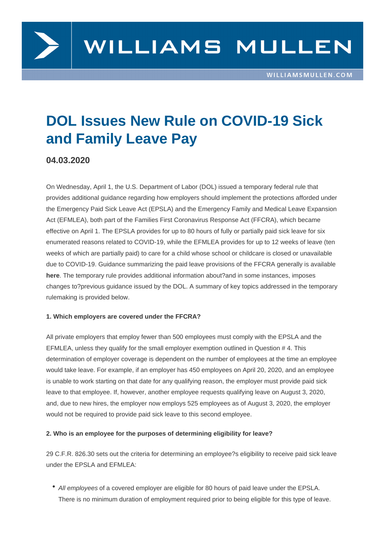# DOL Issues New Rule on COVID-19 Sick and Family Leave Pay

04.03.2020

On Wednesday, April 1, the U.S. Department of Labor (DOL) issued a temporary federal rule that provides additional guidance regarding how employers should implement the protections afforded under the Emergency Paid Sick Leave Act (EPSLA) and the Emergency Family and Medical Leave Expansion Act (EFMLEA), both part of the Families First Coronavirus Response Act (FFCRA), which became effective on April 1. The EPSLA provides for up to 80 hours of fully or partially paid sick leave for six enumerated reasons related to COVID-19, while the EFMLEA provides for up to 12 weeks of leave (ten weeks of which are partially paid) to care for a child whose school or childcare is closed or unavailable due to COVID-19. Guidance summarizing the paid leave provisions of the FFCRA generally is available here. The temporary rule provides additional information about?and in some instances, imposes changes to?previous guidance issued by the DOL. A summary of key topics addressed in the temporary rulemaking is provided below.

#### 1. Which employers are covered under the FFCRA?

All private employers that employ fewer than 500 employees must comply with the EPSLA and the EFMLEA, unless they qualify for the small employer exemption outlined in Question # 4. This determination of employer coverage is dependent on the number of employees at the time an employee would take leave. For example, if an employer has 450 employees on April 20, 2020, and an employee is unable to work starting on that date for any qualifying reason, the employer must provide paid sick leave to that employee. If, however, another employee requests qualifying leave on August 3, 2020, and, due to new hires, the employer now employs 525 employees as of August 3, 2020, the employer would not be required to provide paid sick leave to this second employee.

2. Who is an employee for the purposes of determining eligibility for leave?

29 C.F.R. 826.30 sets out the criteria for determining an employee?s eligibility to receive paid sick leave under the EPSLA and EFMLEA:

All employees of a covered employer are eligible for 80 hours of paid leave under the EPSLA. There is no minimum duration of employment required prior to being eligible for this type of leave.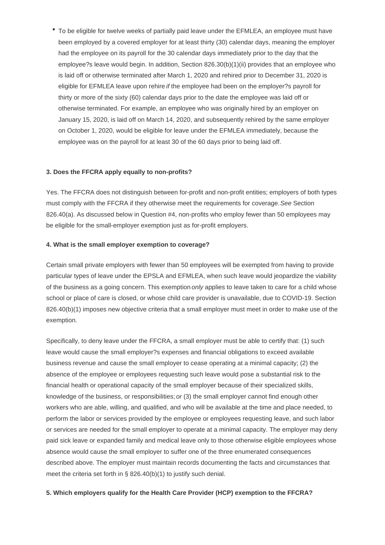To be eligible for twelve weeks of partially paid leave under the EFMLEA, an employee must have been employed by a covered employer for at least thirty (30) calendar days, meaning the employer had the employee on its payroll for the 30 calendar days immediately prior to the day that the employee?s leave would begin. In addition, Section 826.30(b)(1)(ii) provides that an employee who is laid off or otherwise terminated after March 1, 2020 and rehired prior to December 31, 2020 is eligible for EFMLEA leave upon rehire if the employee had been on the employer?s payroll for thirty or more of the sixty (60) calendar days prior to the date the employee was laid off or otherwise terminated. For example, an employee who was originally hired by an employer on January 15, 2020, is laid off on March 14, 2020, and subsequently rehired by the same employer on October 1, 2020, would be eligible for leave under the EFMLEA immediately, because the employee was on the payroll for at least 30 of the 60 days prior to being laid off.

#### **3. Does the FFCRA apply equally to non-profits?**

Yes. The FFCRA does not distinguish between for-profit and non-profit entities; employers of both types must comply with the FFCRA if they otherwise meet the requirements for coverage. See Section 826.40(a). As discussed below in Question #4, non-profits who employ fewer than 50 employees may be eligible for the small-employer exemption just as for-profit employers.

#### **4. What is the small employer exemption to coverage?**

Certain small private employers with fewer than 50 employees will be exempted from having to provide particular types of leave under the EPSLA and EFMLEA, when such leave would jeopardize the viability of the business as a going concern. This exemption *only* applies to leave taken to care for a child whose school or place of care is closed, or whose child care provider is unavailable, due to COVID-19. Section 826.40(b)(1) imposes new objective criteria that a small employer must meet in order to make use of the exemption.

Specifically, to deny leave under the FFCRA, a small employer must be able to certify that: (1) such leave would cause the small employer?s expenses and financial obligations to exceed available business revenue and cause the small employer to cease operating at a minimal capacity; (2) the absence of the employee or employees requesting such leave would pose a substantial risk to the financial health or operational capacity of the small employer because of their specialized skills, knowledge of the business, or responsibilities; or (3) the small employer cannot find enough other workers who are able, willing, and qualified, and who will be available at the time and place needed, to perform the labor or services provided by the employee or employees requesting leave, and such labor or services are needed for the small employer to operate at a minimal capacity. The employer may deny paid sick leave or expanded family and medical leave only to those otherwise eligible employees whose absence would cause the small employer to suffer one of the three enumerated consequences described above. The employer must maintain records documenting the facts and circumstances that meet the criteria set forth in § 826.40(b)(1) to justify such denial.

#### **5. Which employers qualify for the Health Care Provider (HCP) exemption to the FFCRA?**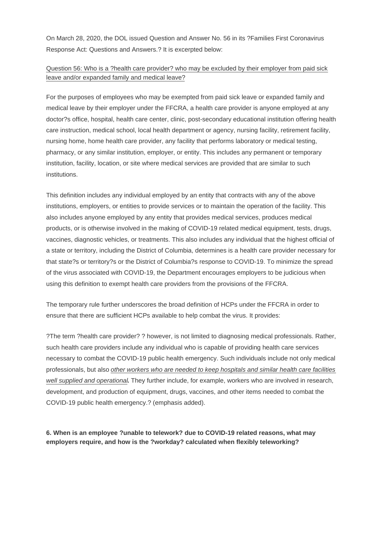On March 28, 2020, the DOL issued Question and Answer No. 56 in its ?Families First Coronavirus Response Act: Questions and Answers.? It is excerpted below:

#### Question 56: Who is a ?health care provider? who may be excluded by their employer from paid sick leave and/or expanded family and medical leave?

For the purposes of employees who may be exempted from paid sick leave or expanded family and medical leave by their employer under the FFCRA, a health care provider is anyone employed at any doctor?s office, hospital, health care center, clinic, post-secondary educational institution offering health care instruction, medical school, local health department or agency, nursing facility, retirement facility, nursing home, home health care provider, any facility that performs laboratory or medical testing, pharmacy, or any similar institution, employer, or entity. This includes any permanent or temporary institution, facility, location, or site where medical services are provided that are similar to such institutions.

This definition includes any individual employed by an entity that contracts with any of the above institutions, employers, or entities to provide services or to maintain the operation of the facility. This also includes anyone employed by any entity that provides medical services, produces medical products, or is otherwise involved in the making of COVID-19 related medical equipment, tests, drugs, vaccines, diagnostic vehicles, or treatments. This also includes any individual that the highest official of a state or territory, including the District of Columbia, determines is a health care provider necessary for that state?s or territory?s or the District of Columbia?s response to COVID-19. To minimize the spread of the virus associated with COVID-19, the Department encourages employers to be judicious when using this definition to exempt health care providers from the provisions of the FFCRA.

The temporary rule further underscores the broad definition of HCPs under the FFCRA in order to ensure that there are sufficient HCPs available to help combat the virus. It provides:

?The term ?health care provider? ? however, is not limited to diagnosing medical professionals. Rather, such health care providers include any individual who is capable of providing health care services necessary to combat the COVID-19 public health emergency. Such individuals include not only medical professionals, but also other workers who are needed to keep hospitals and similar health care facilities well supplied and operational**.** They further include, for example, workers who are involved in research, development, and production of equipment, drugs, vaccines, and other items needed to combat the COVID-19 public health emergency.? (emphasis added).

**6. When is an employee ?unable to telework? due to COVID-19 related reasons, what may employers require, and how is the ?workday? calculated when flexibly teleworking?**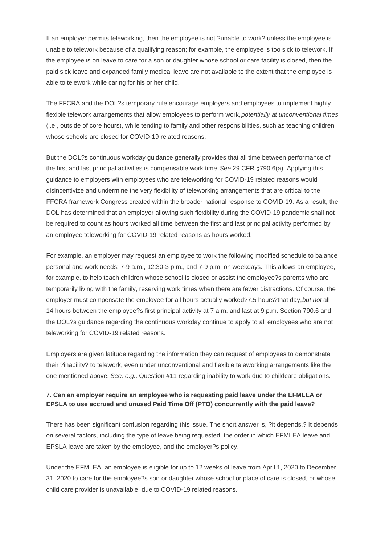If an employer permits teleworking, then the employee is not ?unable to work? unless the employee is unable to telework because of a qualifying reason; for example, the employee is too sick to telework. If the employee is on leave to care for a son or daughter whose school or care facility is closed, then the paid sick leave and expanded family medical leave are not available to the extent that the employee is able to telework while caring for his or her child.

The FFCRA and the DOL?s temporary rule encourage employers and employees to implement highly flexible telework arrangements that allow employees to perform work, potentially at unconventional times (i.e., outside of core hours), while tending to family and other responsibilities, such as teaching children whose schools are closed for COVID-19 related reasons.

But the DOL?s continuous workday guidance generally provides that all time between performance of the first and last principal activities is compensable work time. See 29 CFR §790.6(a). Applying this guidance to employers with employees who are teleworking for COVID-19 related reasons would disincentivize and undermine the very flexibility of teleworking arrangements that are critical to the FFCRA framework Congress created within the broader national response to COVID-19. As a result, the DOL has determined that an employer allowing such flexibility during the COVID-19 pandemic shall not be required to count as hours worked all time between the first and last principal activity performed by an employee teleworking for COVID-19 related reasons as hours worked.

For example, an employer may request an employee to work the following modified schedule to balance personal and work needs: 7-9 a.m., 12:30-3 p.m., and 7-9 p.m. on weekdays. This allows an employee, for example, to help teach children whose school is closed or assist the employee?s parents who are temporarily living with the family, reserving work times when there are fewer distractions. Of course, the employer must compensate the employee for all hours actually worked?7.5 hours?that day, but not all 14 hours between the employee?s first principal activity at 7 a.m. and last at 9 p.m. Section 790.6 and the DOL?s guidance regarding the continuous workday continue to apply to all employees who are not teleworking for COVID-19 related reasons.

Employers are given latitude regarding the information they can request of employees to demonstrate their ?inability? to telework, even under unconventional and flexible teleworking arrangements like the one mentioned above. See, e.g., Question #11 regarding inability to work due to childcare obligations.

#### **7. Can an employer require an employee who is requesting paid leave under the EFMLEA or EPSLA to use accrued and unused Paid Time Off (PTO) concurrently with the paid leave?**

There has been significant confusion regarding this issue. The short answer is, ?it depends.? It depends on several factors, including the type of leave being requested, the order in which EFMLEA leave and EPSLA leave are taken by the employee, and the employer?s policy.

Under the EFMLEA, an employee is eligible for up to 12 weeks of leave from April 1, 2020 to December 31, 2020 to care for the employee?s son or daughter whose school or place of care is closed, or whose child care provider is unavailable, due to COVID-19 related reasons.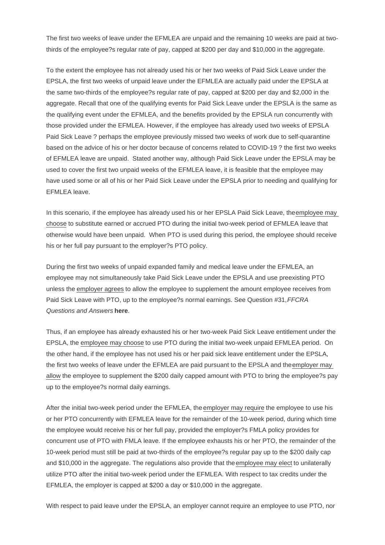The first two weeks of leave under the EFMLEA are unpaid and the remaining 10 weeks are paid at twothirds of the employee?s regular rate of pay, capped at \$200 per day and \$10,000 in the aggregate.

To the extent the employee has not already used his or her two weeks of Paid Sick Leave under the EPSLA, the first two weeks of unpaid leave under the EFMLEA are actually paid under the EPSLA at the same two-thirds of the employee?s regular rate of pay, capped at \$200 per day and \$2,000 in the aggregate. Recall that one of the qualifying events for Paid Sick Leave under the EPSLA is the same as the qualifying event under the EFMLEA, and the benefits provided by the EPSLA run concurrently with those provided under the EFMLEA. However, if the employee has already used two weeks of EPSLA Paid Sick Leave ? perhaps the employee previously missed two weeks of work due to self-quarantine based on the advice of his or her doctor because of concerns related to COVID-19 ? the first two weeks of EFMLEA leave are unpaid. Stated another way, although Paid Sick Leave under the EPSLA may be used to cover the first two unpaid weeks of the EFMLEA leave, it is feasible that the employee may have used some or all of his or her Paid Sick Leave under the EPSLA prior to needing and qualifying for EFMLEA leave.

In this scenario, if the employee has already used his or her EPSLA Paid Sick Leave, the employee may choose to substitute earned or accrued PTO during the initial two-week period of EFMLEA leave that otherwise would have been unpaid. When PTO is used during this period, the employee should receive his or her full pay pursuant to the employer?s PTO policy.

During the first two weeks of unpaid expanded family and medical leave under the EFMLEA, an employee may not simultaneously take Paid Sick Leave under the EPSLA and use preexisting PTO unless the employer agrees to allow the employee to supplement the amount employee receives from Paid Sick Leave with PTO, up to the employee?s normal earnings. See Question #31, FFCRA Questions and Answers here.

Thus, if an employee has already exhausted his or her two-week Paid Sick Leave entitlement under the EPSLA, the employee [may ch](https://www.dol.gov/agencies/whd/pandemic/ffcra-questions)oose to use PTO during the initial two-week unpaid EFMLEA period. On the other hand, if the employee has not used his or her paid sick leave entitlement under the EPSLA, the first two weeks of leave under the EFMLEA are paid pursuant to the EPSLA and the employer may allow the employee to supplement the \$200 daily capped amount with PTO to bring the employee?s pay up to the employee?s normal daily earnings.

After the initial two-week period under the EFMLEA, the employer may require the employee to use his or her PTO concurrently with EFMLEA leave for the remainder of the 10-week period, during which time the employee would receive his or her full pay, provided the employer?s FMLA policy provides for concurrent use of PTO with FMLA leave. If the employee exhausts his or her PTO, the remainder of the 10-week period must still be paid at two-thirds of the employee?s regular pay up to the \$200 daily cap and \$10,000 in the aggregate. The regulations also provide that the employee may elect to unilaterally utilize PTO after the initial two-week period under the EFMLEA. With respect to tax credits under the EFMLEA, the employer is capped at \$200 a day or \$10,000 in the aggregate.

With respect to paid leave under the EPSLA, an employer cannot require an employee to use PTO, nor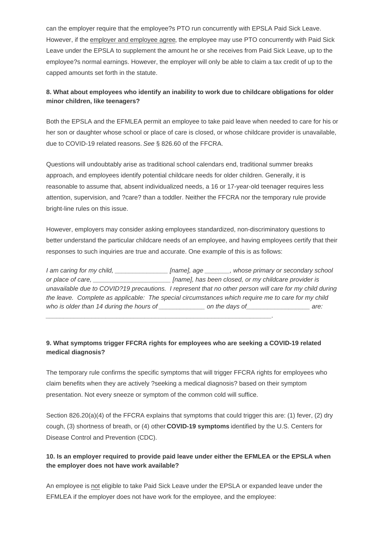However, if the employer and employee agree, the employee may use PTO concurrently with Paid Sick Leave under the EPSLA to supplement the amount he or she receives from Paid Sick Leave, up to the employee?s normal earnings. However, the employer will only be able to claim a tax credit of up to the capped amounts set forth in the statute.

8. What about employees who identify an inability to work due to childcare obligations for older minor children, like teenagers?

Both the EPSLA and the EFMLEA permit an employee to take paid leave when needed to care for his or her son or daughter whose school or place of care is closed, or whose childcare provider is unavailable, due to COVID-19 related reasons. See § 826.60 of the FFCRA.

Questions will undoubtably arise as traditional school calendars end, traditional summer breaks approach, and employees identify potential childcare needs for older children. Generally, it is reasonable to assume that, absent individualized needs, a 16 or 17-year-old teenager requires less attention, supervision, and ?care? than a toddler. Neither the FFCRA nor the temporary rule provide bright-line rules on this issue.

However, employers may consider asking employees standardized, non-discriminatory questions to better understand the particular childcare needs of an employee, and having employees certify that their responses to such inquiries are true and accurate. One example of this is as follows:

| I am caring for my child,                                                                               | [name], age | _, whose primary or secondary school                 |      |
|---------------------------------------------------------------------------------------------------------|-------------|------------------------------------------------------|------|
| or place of care,                                                                                       |             | [name], has been closed, or my childcare provider is |      |
| unavailable due to COVID?19 precautions. I represent that no other person will care for my child during |             |                                                      |      |
| the leave. Complete as applicable: The special circumstances which require me to care for my child      |             |                                                      |      |
| who is older than 14 during the hours of __                                                             |             | on the days of                                       | are: |

9. What symptoms trigger FFCRA rights for employees who are seeking a COVID-19 related medical diagnosis?

\_\_\_\_\_\_\_\_\_\_\_\_\_\_\_\_\_\_\_\_\_\_\_\_\_\_\_\_\_\_\_\_\_\_\_\_\_\_\_\_\_\_\_\_\_\_\_\_\_\_\_\_\_\_\_\_\_\_\_\_\_\_\_\_.

The temporary rule confirms the specific symptoms that will trigger FFCRA rights for employees who claim benefits when they are actively ?seeking a medical diagnosis? based on their symptom presentation. Not every sneeze or symptom of the common cold will suffice.

Section 826.20(a)(4) of the FFCRA explains that symptoms that could trigger this are: (1) fever, (2) dry cough, (3) shortness of breath, or (4) other COVID-19 symptoms identified by the U.S. Centers for Disease Control and Prevention (CDC).

10. Is an employer required to provide paid [leave under either the](https://www.cdc.gov/coronavirus/2019-ncov/symptoms-testing/symptoms.html) EFMLEA or the EPSLA when the employer does not have work available?

An employee is not eligible to take Paid Sick Leave under the EPSLA or expanded leave under the EFMLEA if the employer does not have work for the employee, and the employee: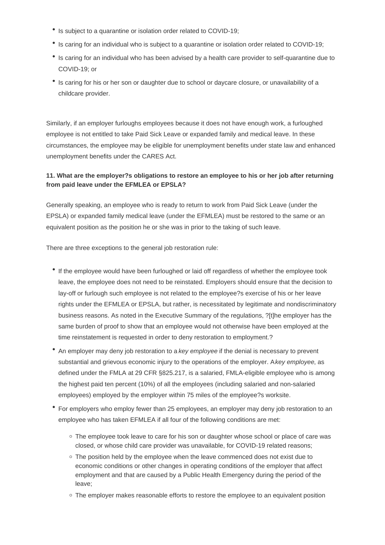- Is subject to a quarantine or isolation order related to COVID-19;
- Is caring for an individual who is subject to a quarantine or isolation order related to COVID-19;
- Is caring for an individual who has been advised by a health care provider to self-quarantine due to COVID-19; or
- Is caring for his or her son or daughter due to school or daycare closure, or unavailability of a childcare provider.

Similarly, if an employer furloughs employees because it does not have enough work, a furloughed employee is not entitled to take Paid Sick Leave or expanded family and medical leave. In these circumstances, the employee may be eligible for unemployment benefits under state law and enhanced unemployment benefits under the CARES Act.

## **11. What are the employer?s obligations to restore an employee to his or her job after returning from paid leave under the EFMLEA or EPSLA?**

Generally speaking, an employee who is ready to return to work from Paid Sick Leave (under the EPSLA) or expanded family medical leave (under the EFMLEA) must be restored to the same or an equivalent position as the position he or she was in prior to the taking of such leave.

There are three exceptions to the general job restoration rule:

- If the employee would have been furloughed or laid off regardless of whether the employee took leave, the employee does not need to be reinstated. Employers should ensure that the decision to lay-off or furlough such employee is not related to the employee?s exercise of his or her leave rights under the EFMLEA or EPSLA, but rather, is necessitated by legitimate and nondiscriminatory business reasons. As noted in the Executive Summary of the regulations, ?[t]he employer has the same burden of proof to show that an employee would not otherwise have been employed at the time reinstatement is requested in order to deny restoration to employment.?
- An employer may deny job restoration to a key employee if the denial is necessary to prevent substantial and grievous economic injury to the operations of the employer. A key employee, as defined under the FMLA at 29 CFR §825.217, is a salaried, FMLA-eligible employee who is among the highest paid ten percent (10%) of all the employees (including salaried and non-salaried employees) employed by the employer within 75 miles of the employee?s worksite.
- For employers who employ fewer than 25 employees, an employer may deny job restoration to an employee who has taken EFMLEA if all four of the following conditions are met:
	- The employee took leave to care for his son or daughter whose school or place of care was closed, or whose child care provider was unavailable, for COVID-19 related reasons;
	- The position held by the employee when the leave commenced does not exist due to economic conditions or other changes in operating conditions of the employer that affect employment and that are caused by a Public Health Emergency during the period of the leave;
	- o The employer makes reasonable efforts to restore the employee to an equivalent position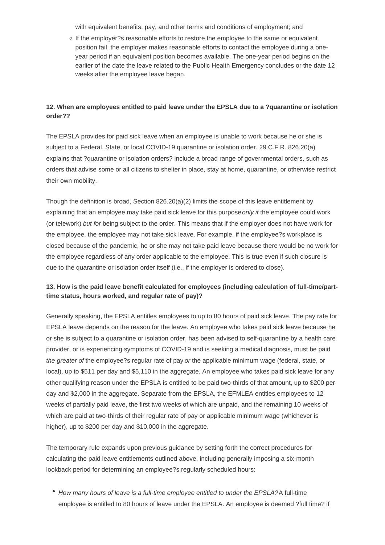with equivalent benefits, pay, and other terms and conditions of employment; and

 $\circ$  If the employer?s reasonable efforts to restore the employee to the same or equivalent position fail, the employer makes reasonable efforts to contact the employee during a oneyear period if an equivalent position becomes available. The one-year period begins on the earlier of the date the leave related to the Public Health Emergency concludes or the date 12 weeks after the employee leave began.

#### **12. When are employees entitled to paid leave under the EPSLA due to a ?quarantine or isolation order??**

The EPSLA provides for paid sick leave when an employee is unable to work because he or she is subject to a Federal, State, or local COVID-19 quarantine or isolation order. 29 C.F.R. 826.20(a) explains that ?quarantine or isolation orders? include a broad range of governmental orders, such as orders that advise some or all citizens to shelter in place, stay at home, quarantine, or otherwise restrict their own mobility.

Though the definition is broad, Section 826.20(a)(2) limits the scope of this leave entitlement by explaining that an employee may take paid sick leave for this purpose *only if* the employee could work (or telework) but for being subject to the order. This means that if the employer does not have work for the employee, the employee may not take sick leave. For example, if the employee?s workplace is closed because of the pandemic, he or she may not take paid leave because there would be no work for the employee regardless of any order applicable to the employee. This is true even if such closure is due to the quarantine or isolation order itself (i.e., if the employer is ordered to close).

## **13. How is the paid leave benefit calculated for employees (including calculation of full-time/parttime status, hours worked, and regular rate of pay)?**

Generally speaking, the EPSLA entitles employees to up to 80 hours of paid sick leave. The pay rate for EPSLA leave depends on the reason for the leave. An employee who takes paid sick leave because he or she is subject to a quarantine or isolation order, has been advised to self-quarantine by a health care provider, or is experiencing symptoms of COVID-19 and is seeking a medical diagnosis, must be paid the greater of the employee?s regular rate of pay or the applicable minimum wage (federal, state, or local), up to \$511 per day and \$5,110 in the aggregate. An employee who takes paid sick leave for any other qualifying reason under the EPSLA is entitled to be paid two-thirds of that amount, up to \$200 per day and \$2,000 in the aggregate. Separate from the EPSLA, the EFMLEA entitles employees to 12 weeks of partially paid leave, the first two weeks of which are unpaid, and the remaining 10 weeks of which are paid at two-thirds of their regular rate of pay or applicable minimum wage (whichever is higher), up to \$200 per day and \$10,000 in the aggregate.

The temporary rule expands upon previous guidance by setting forth the correct procedures for calculating the paid leave entitlements outlined above, including generally imposing a six-month lookback period for determining an employee?s regularly scheduled hours:

How many hours of leave is a full-time employee entitled to under the EPSLA? A full-time employee is entitled to 80 hours of leave under the EPSLA. An employee is deemed ?full time? if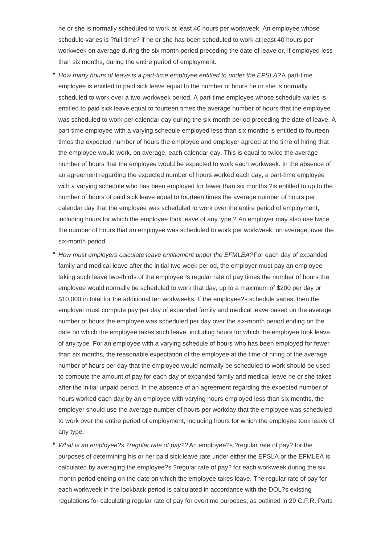he or she is normally scheduled to work at least 40 hours per workweek. An employee whose schedule varies is ?full-time? if he or she has been scheduled to work at least 40 hours per workweek on average during the six month period preceding the date of leave or, if employed less than six months, during the entire period of employment.

- How many hours of leave is a part-time employee entitled to under the EPSLA? A part-time employee is entitled to paid sick leave equal to the number of hours he or she is normally scheduled to work over a two-workweek period. A part-time employee whose schedule varies is entitled to paid sick leave equal to fourteen times the average number of hours that the employee was scheduled to work per calendar day during the six-month period preceding the date of leave. A part-time employee with a varying schedule employed less than six months is entitled to fourteen times the expected number of hours the employee and employer agreed at the time of hiring that the employee would work, on average, each calendar day. This is equal to twice the average number of hours that the employee would be expected to work each workweek. In the absence of an agreement regarding the expected number of hours worked each day, a part-time employee with a varying schedule who has been employed for fewer than six months ?is entitled to up to the number of hours of paid sick leave equal to fourteen times the average number of hours per calendar day that the employee was scheduled to work over the entire period of employment, including hours for which the employee took leave of any type.? An employer may also use twice the number of hours that an employee was scheduled to work per workweek, on average, over the six-month period.
- How must employers calculate leave entitlement under the EFMLEA? For each day of expanded family and medical leave after the initial two-week period, the employer must pay an employee taking such leave two-thirds of the employee?s regular rate of pay times the number of hours the employee would normally be scheduled to work that day, up to a maximum of \$200 per day or \$10,000 in total for the additional ten workweeks. If the employee?s schedule varies, then the employer must compute pay per day of expanded family and medical leave based on the average number of hours the employee was scheduled per day over the six-month period ending on the date on which the employee takes such leave, including hours for which the employee took leave of any type. For an employee with a varying schedule of hours who has been employed for fewer than six months, the reasonable expectation of the employee at the time of hiring of the average number of hours per day that the employee would normally be scheduled to work should be used to compute the amount of pay for each day of expanded family and medical leave he or she takes after the initial unpaid period. In the absence of an agreement regarding the expected number of hours worked each day by an employee with varying hours employed less than six months, the employer should use the average number of hours per workday that the employee was scheduled to work over the entire period of employment, including hours for which the employee took leave of any type.
- What is an employee?s ?regular rate of pay?? An employee?s ?regular rate of pay? for the purposes of determining his or her paid sick leave rate under either the EPSLA or the EFMLEA is calculated by averaging the employee?s ?regular rate of pay? for each workweek during the six month period ending on the date on which the employee takes leave. The regular rate of pay for each workweek in the lookback period is calculated in accordance with the DOL?s existing regulations for calculating regular rate of pay for overtime purposes, as outlined in 29 C.F.R. Parts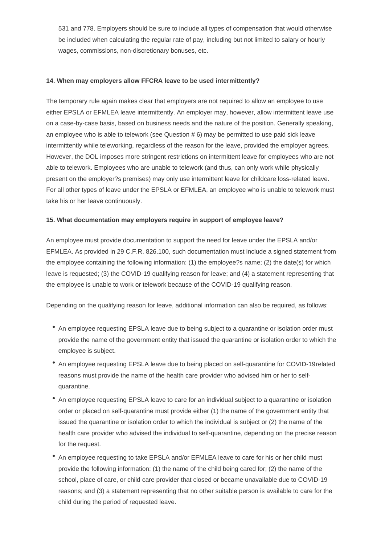531 and 778. Employers should be sure to include all types of compensation that would otherwise be included when calculating the regular rate of pay, including but not limited to salary or hourly wages, commissions, non-discretionary bonuses, etc.

#### **14. When may employers allow FFCRA leave to be used intermittently?**

The temporary rule again makes clear that employers are not required to allow an employee to use either EPSLA or EFMLEA leave intermittently. An employer may, however, allow intermittent leave use on a case-by-case basis, based on business needs and the nature of the position. Generally speaking, an employee who is able to telework (see Question # 6) may be permitted to use paid sick leave intermittently while teleworking, regardless of the reason for the leave, provided the employer agrees. However, the DOL imposes more stringent restrictions on intermittent leave for employees who are not able to telework. Employees who are unable to telework (and thus, can only work while physically present on the employer?s premises) may only use intermittent leave for childcare loss-related leave. For all other types of leave under the EPSLA or EFMLEA, an employee who is unable to telework must take his or her leave continuously.

#### **15. What documentation may employers require in support of employee leave?**

An employee must provide documentation to support the need for leave under the EPSLA and/or EFMLEA. As provided in 29 C.F.R. 826.100, such documentation must include a signed statement from the employee containing the following information: (1) the employee?s name; (2) the date(s) for which leave is requested; (3) the COVID-19 qualifying reason for leave; and (4) a statement representing that the employee is unable to work or telework because of the COVID-19 qualifying reason.

Depending on the qualifying reason for leave, additional information can also be required, as follows:

- An employee requesting EPSLA leave due to being subject to a quarantine or isolation order must provide the name of the government entity that issued the quarantine or isolation order to which the employee is subject.
- An employee requesting EPSLA leave due to being placed on self-quarantine for COVID-19 related reasons must provide the name of the health care provider who advised him or her to selfquarantine.
- An employee requesting EPSLA leave to care for an individual subject to a quarantine or isolation order or placed on self-quarantine must provide either (1) the name of the government entity that issued the quarantine or isolation order to which the individual is subject or (2) the name of the health care provider who advised the individual to self-quarantine, depending on the precise reason for the request.
- An employee requesting to take EPSLA and/or EFMLEA leave to care for his or her child must provide the following information: (1) the name of the child being cared for; (2) the name of the school, place of care, or child care provider that closed or became unavailable due to COVID-19 reasons; and (3) a statement representing that no other suitable person is available to care for the child during the period of requested leave.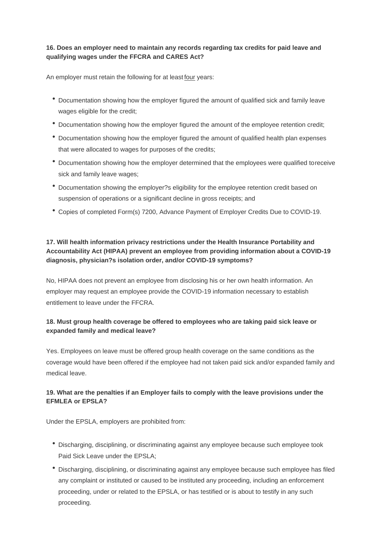# **16. Does an employer need to maintain any records regarding tax credits for paid leave and qualifying wages under the FFCRA and CARES Act?**

An employer must retain the following for at least four years:

- Documentation showing how the employer figured the amount of qualified sick and family leave wages eligible for the credit;
- Documentation showing how the employer figured the amount of the employee retention credit;
- Documentation showing how the employer figured the amount of qualified health plan expenses that were allocated to wages for purposes of the credits;
- Documentation showing how the employer determined that the employees were qualified to receive sick and family leave wages;
- Documentation showing the employer?s eligibility for the employee retention credit based on suspension of operations or a significant decline in gross receipts; and
- Copies of completed Form(s) 7200, Advance Payment of Employer Credits Due to COVID-19.

# **17. Will health information privacy restrictions under the Health Insurance Portability and Accountability Act (HIPAA) prevent an employee from providing information about a COVID-19 diagnosis, physician?s isolation order, and/or COVID-19 symptoms?**

No, HIPAA does not prevent an employee from disclosing his or her own health information. An employer may request an employee provide the COVID-19 information necessary to establish entitlement to leave under the FFCRA.

## **18. Must group health coverage be offered to employees who are taking paid sick leave or expanded family and medical leave?**

Yes. Employees on leave must be offered group health coverage on the same conditions as the coverage would have been offered if the employee had not taken paid sick and/or expanded family and medical leave.

# **19. What are the penalties if an Employer fails to comply with the leave provisions under the EFMLEA or EPSLA?**

Under the EPSLA, employers are prohibited from:

- Discharging, disciplining, or discriminating against any employee because such employee took Paid Sick Leave under the EPSLA;
- Discharging, disciplining, or discriminating against any employee because such employee has filed any complaint or instituted or caused to be instituted any proceeding, including an enforcement proceeding, under or related to the EPSLA, or has testified or is about to testify in any such proceeding.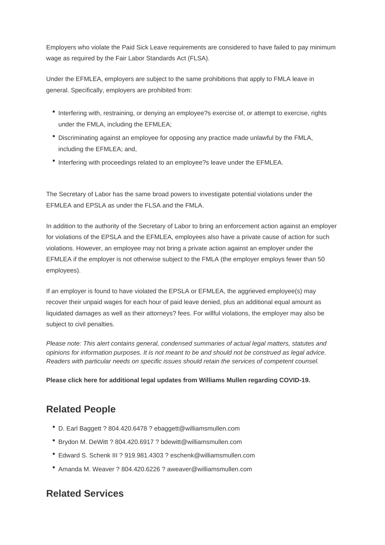Employers who violate the Paid Sick Leave requirements are considered to have failed to pay minimum wage as required by the Fair Labor Standards Act (FLSA).

Under the EFMLEA, employers are subject to the same prohibitions that apply to FMLA leave in general. Specifically, employers are prohibited from:

- Interfering with, restraining, or denying an employee?s exercise of, or attempt to exercise, rights under the FMLA, including the EFMLEA;
- Discriminating against an employee for opposing any practice made unlawful by the FMLA, including the EFMLEA; and,
- $\bullet$  Interfering with proceedings related to an employee?s leave under the EFMLEA.

The Secretary of Labor has the same broad powers to investigate potential violations under the EFMLEA and EPSLA as under the FLSA and the FMLA.

In addition to the authority of the Secretary of Labor to bring an enforcement action against an employer for violations of the EPSLA and the EFMLEA, employees also have a private cause of action for such violations. However, an employee may not bring a private action against an employer under the EFMLEA if the employer is not otherwise subject to the FMLA (the employer employs fewer than 50 employees).

If an employer is found to have violated the EPSLA or EFMLEA, the aggrieved employee(s) may recover their unpaid wages for each hour of paid leave denied, plus an additional equal amount as liquidated damages as well as their attorneys? fees. For willful violations, the employer may also be subject to civil penalties.

Please note: This alert contains general, condensed summaries of actual legal matters, statutes and opinions for information purposes. It is not meant to be and should not be construed as legal advice. Readers with particular needs on specific issues should retain the services of competent counsel.

Please click here for additional legal updates from Williams Mullen regarding COVID-19.

# [Related People](https://www.williamsmullen.com/covid-19)

- D. Earl Baggett ? 804.420.6478 ? ebaggett@williamsmullen.com
- Brydon M. DeWitt ? 804.420.6917 ? bdewitt@williamsmullen.com
- Edward S. Schenk III ? 919.981.4303 ? eschenk@williamsmullen.com
- Amanda M. Weaver ? 804.420.6226 ? aweaver@williamsmullen.com

# Related Services